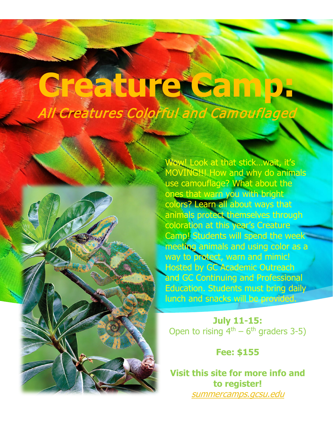## **Creature Camp:** All Creatures Colorful and Camouflaged



Wow! Look at that stick...wait, it's MOVING!!! How and why do animals use camouflage? What about the ones that warn you with bright colors? Learn all about ways that animals protect themselves through coloration at this year's Creature Camp! Students will spend the week meeting animals and using color as a way to protect, warn and mimic! Hosted by GC Academic Outreach and GC Continuing and Professional Education. Students must bring daily lunch and snacks will be provided.

**July 11-15:** Open to rising  $4<sup>th</sup> - 6<sup>th</sup>$  graders 3-5)

## **Fee: \$155**

**Visit this site for more info and to register!** [summercamps.gcsu.edu](https://summercamps.gcsu.edu/)